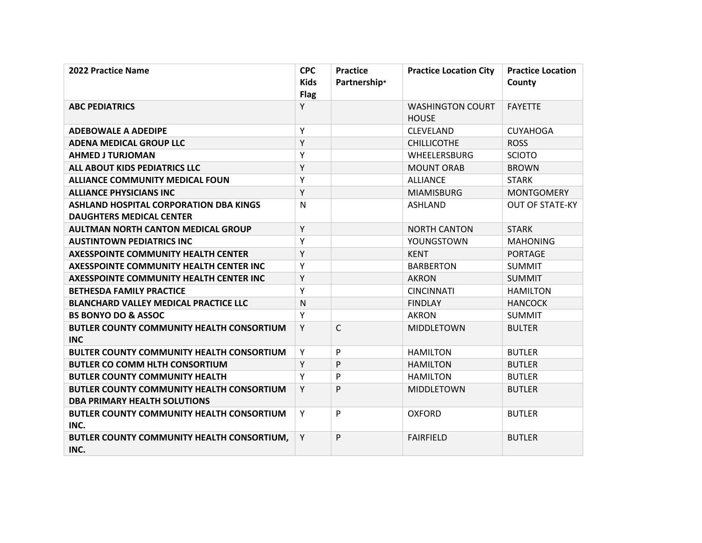| 2022 Practice Name                                      | <b>CPC</b><br><b>Kids</b><br><b>Flag</b> | <b>Practice</b><br>Partnership* | <b>Practice Location City</b>           | <b>Practice Location</b><br>County |
|---------------------------------------------------------|------------------------------------------|---------------------------------|-----------------------------------------|------------------------------------|
| <b>ABC PEDIATRICS</b>                                   | Y                                        |                                 | <b>WASHINGTON COURT</b><br><b>HOUSE</b> | <b>FAYETTE</b>                     |
| <b>ADEBOWALE A ADEDIPE</b>                              | Y                                        |                                 | <b>CLEVELAND</b>                        | <b>CUYAHOGA</b>                    |
| <b>ADENA MEDICAL GROUP LLC</b>                          | Υ                                        |                                 | <b>CHILLICOTHE</b>                      | <b>ROSS</b>                        |
| <b>AHMED J TURJOMAN</b>                                 | Y                                        |                                 | WHEELERSBURG                            | <b>SCIOTO</b>                      |
| <b>ALL ABOUT KIDS PEDIATRICS LLC</b>                    | Y                                        |                                 | <b>MOUNT ORAB</b>                       | <b>BROWN</b>                       |
| <b>ALLIANCE COMMUNITY MEDICAL FOUN</b>                  | Y                                        |                                 | <b>ALLIANCE</b>                         | <b>STARK</b>                       |
| <b>ALLIANCE PHYSICIANS INC</b>                          | Y                                        |                                 | <b>MIAMISBURG</b>                       | <b>MONTGOMERY</b>                  |
| <b>ASHLAND HOSPITAL CORPORATION DBA KINGS</b>           | $\mathsf{N}$                             |                                 | <b>ASHLAND</b>                          | <b>OUT OF STATE-KY</b>             |
| <b>DAUGHTERS MEDICAL CENTER</b>                         |                                          |                                 |                                         |                                    |
| <b>AULTMAN NORTH CANTON MEDICAL GROUP</b>               | Y                                        |                                 | <b>NORTH CANTON</b>                     | <b>STARK</b>                       |
| <b>AUSTINTOWN PEDIATRICS INC</b>                        | Υ                                        |                                 | YOUNGSTOWN                              | <b>MAHONING</b>                    |
| <b>AXESSPOINTE COMMUNITY HEALTH CENTER</b>              | Y                                        |                                 | <b>KENT</b>                             | <b>PORTAGE</b>                     |
| <b>AXESSPOINTE COMMUNITY HEALTH CENTER INC</b>          | Y                                        |                                 | <b>BARBERTON</b>                        | <b>SUMMIT</b>                      |
| <b>AXESSPOINTE COMMUNITY HEALTH CENTER INC</b>          | Υ                                        |                                 | <b>AKRON</b>                            | <b>SUMMIT</b>                      |
| <b>BETHESDA FAMILY PRACTICE</b>                         | Y                                        |                                 | <b>CINCINNATI</b>                       | <b>HAMILTON</b>                    |
| <b>BLANCHARD VALLEY MEDICAL PRACTICE LLC</b>            | $\mathsf{N}$                             |                                 | <b>FINDLAY</b>                          | <b>HANCOCK</b>                     |
| <b>BS BONYO DO &amp; ASSOC</b>                          | Y                                        |                                 | <b>AKRON</b>                            | <b>SUMMIT</b>                      |
| BUTLER COUNTY COMMUNITY HEALTH CONSORTIUM<br><b>INC</b> | Υ                                        | $\mathsf{C}$                    | <b>MIDDLETOWN</b>                       | <b>BULTER</b>                      |
| <b>BULTER COUNTY COMMUNITY HEALTH CONSORTIUM</b>        | Y                                        | P                               | <b>HAMILTON</b>                         | <b>BUTLER</b>                      |
| <b>BUTLER CO COMM HLTH CONSORTIUM</b>                   | Υ                                        | P                               | <b>HAMILTON</b>                         | <b>BUTLER</b>                      |
| <b>BUTLER COUNTY COMMUNITY HEALTH</b>                   | Υ                                        | P                               | <b>HAMILTON</b>                         | <b>BUTLER</b>                      |
| BUTLER COUNTY COMMUNITY HEALTH CONSORTIUM               | Y                                        | P                               | <b>MIDDLETOWN</b>                       | <b>BUTLER</b>                      |
| <b>DBA PRIMARY HEALTH SOLUTIONS</b>                     |                                          |                                 |                                         |                                    |
| BUTLER COUNTY COMMUNITY HEALTH CONSORTIUM<br>INC.       | Υ                                        | P                               | <b>OXFORD</b>                           | <b>BUTLER</b>                      |
| BUTLER COUNTY COMMUNITY HEALTH CONSORTIUM,<br>INC.      | Y                                        | P                               | <b>FAIRFIELD</b>                        | <b>BUTLER</b>                      |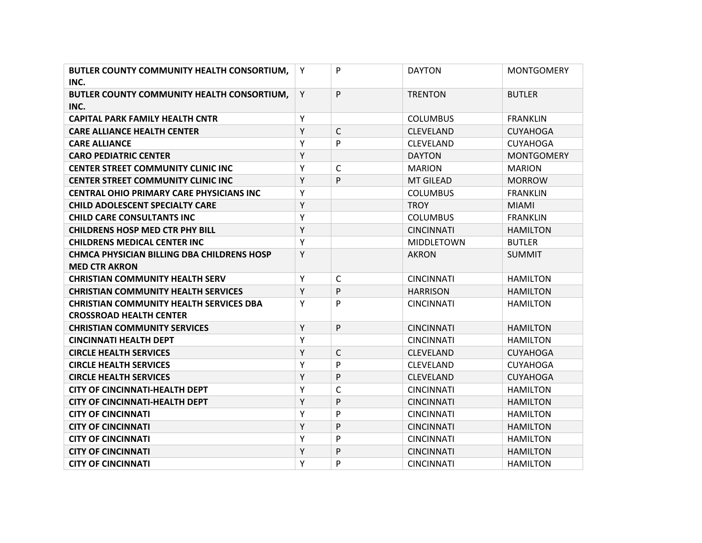| BUTLER COUNTY COMMUNITY HEALTH CONSORTIUM,        | Y | P            | <b>DAYTON</b>     | <b>MONTGOMERY</b> |
|---------------------------------------------------|---|--------------|-------------------|-------------------|
| INC.                                              |   |              |                   |                   |
| BUTLER COUNTY COMMUNITY HEALTH CONSORTIUM,        | Y | P            | <b>TRENTON</b>    | <b>BUTLER</b>     |
| INC.                                              |   |              |                   |                   |
| <b>CAPITAL PARK FAMILY HEALTH CNTR</b>            | Υ |              | <b>COLUMBUS</b>   | <b>FRANKLIN</b>   |
| <b>CARE ALLIANCE HEALTH CENTER</b>                | Υ | C            | <b>CLEVELAND</b>  | <b>CUYAHOGA</b>   |
| <b>CARE ALLIANCE</b>                              | Υ | P            | <b>CLEVELAND</b>  | <b>CUYAHOGA</b>   |
| <b>CARO PEDIATRIC CENTER</b>                      | Υ |              | <b>DAYTON</b>     | <b>MONTGOMERY</b> |
| <b>CENTER STREET COMMUNITY CLINIC INC</b>         | Υ | C            | <b>MARION</b>     | <b>MARION</b>     |
| <b>CENTER STREET COMMUNITY CLINIC INC.</b>        | Y | P            | <b>MT GILEAD</b>  | <b>MORROW</b>     |
| <b>CENTRAL OHIO PRIMARY CARE PHYSICIANS INC</b>   | Υ |              | <b>COLUMBUS</b>   | <b>FRANKLIN</b>   |
| <b>CHILD ADOLESCENT SPECIALTY CARE</b>            | Υ |              | <b>TROY</b>       | <b>MIAMI</b>      |
| <b>CHILD CARE CONSULTANTS INC</b>                 | Υ |              | <b>COLUMBUS</b>   | <b>FRANKLIN</b>   |
| <b>CHILDRENS HOSP MED CTR PHY BILL</b>            | Y |              | <b>CINCINNATI</b> | <b>HAMILTON</b>   |
| <b>CHILDRENS MEDICAL CENTER INC</b>               | Υ |              | <b>MIDDLETOWN</b> | <b>BUTLER</b>     |
| <b>CHMCA PHYSICIAN BILLING DBA CHILDRENS HOSP</b> | Y |              | <b>AKRON</b>      | <b>SUMMIT</b>     |
| <b>MED CTR AKRON</b>                              |   |              |                   |                   |
| <b>CHRISTIAN COMMUNITY HEALTH SERV</b>            | Υ | C            | <b>CINCINNATI</b> | <b>HAMILTON</b>   |
| <b>CHRISTIAN COMMUNITY HEALTH SERVICES</b>        | Υ | P            | <b>HARRISON</b>   | <b>HAMILTON</b>   |
| <b>CHRISTIAN COMMUNITY HEALTH SERVICES DBA</b>    | Y | P            | <b>CINCINNATI</b> | <b>HAMILTON</b>   |
| <b>CROSSROAD HEALTH CENTER</b>                    |   |              |                   |                   |
| <b>CHRISTIAN COMMUNITY SERVICES</b>               | Υ | P            | <b>CINCINNATI</b> | <b>HAMILTON</b>   |
| <b>CINCINNATI HEALTH DEPT</b>                     | Υ |              | <b>CINCINNATI</b> | <b>HAMILTON</b>   |
| <b>CIRCLE HEALTH SERVICES</b>                     | Υ | С            | <b>CLEVELAND</b>  | <b>CUYAHOGA</b>   |
| <b>CIRCLE HEALTH SERVICES</b>                     | Υ | P            | <b>CLEVELAND</b>  | <b>CUYAHOGA</b>   |
| <b>CIRCLE HEALTH SERVICES</b>                     | Y | P            | <b>CLEVELAND</b>  | <b>CUYAHOGA</b>   |
| <b>CITY OF CINCINNATI-HEALTH DEPT</b>             | Υ | $\mathsf{C}$ | <b>CINCINNATI</b> | <b>HAMILTON</b>   |
| <b>CITY OF CINCINNATI-HEALTH DEPT</b>             | Υ | ${\sf P}$    | <b>CINCINNATI</b> | <b>HAMILTON</b>   |
| <b>CITY OF CINCINNATI</b>                         | Υ | P            | <b>CINCINNATI</b> | <b>HAMILTON</b>   |
| <b>CITY OF CINCINNATI</b>                         | Υ | P            | <b>CINCINNATI</b> | <b>HAMILTON</b>   |
| <b>CITY OF CINCINNATI</b>                         | Υ | P            | <b>CINCINNATI</b> | <b>HAMILTON</b>   |
| <b>CITY OF CINCINNATI</b>                         | Υ | P            | <b>CINCINNATI</b> | <b>HAMILTON</b>   |
| <b>CITY OF CINCINNATI</b>                         | Υ | P            | <b>CINCINNATI</b> | <b>HAMILTON</b>   |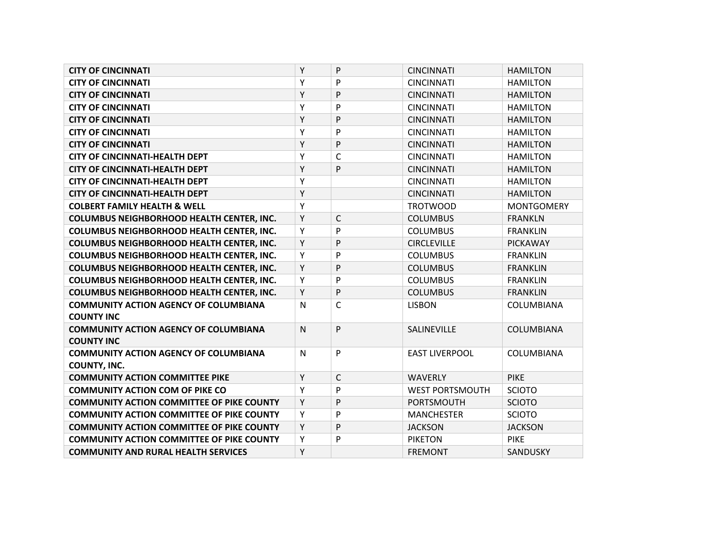| <b>CITY OF CINCINNATI</b>                                           | Y            | P            | <b>CINCINNATI</b>      | <b>HAMILTON</b>   |
|---------------------------------------------------------------------|--------------|--------------|------------------------|-------------------|
| <b>CITY OF CINCINNATI</b>                                           | Υ            | P            | <b>CINCINNATI</b>      | <b>HAMILTON</b>   |
| <b>CITY OF CINCINNATI</b>                                           | Y            | P            | <b>CINCINNATI</b>      | <b>HAMILTON</b>   |
| <b>CITY OF CINCINNATI</b>                                           | Υ            | P            | <b>CINCINNATI</b>      | <b>HAMILTON</b>   |
| <b>CITY OF CINCINNATI</b>                                           | Υ            | P            | <b>CINCINNATI</b>      | <b>HAMILTON</b>   |
| <b>CITY OF CINCINNATI</b>                                           | Υ            | P            | <b>CINCINNATI</b>      | <b>HAMILTON</b>   |
| <b>CITY OF CINCINNATI</b>                                           | Υ            | P            | <b>CINCINNATI</b>      | <b>HAMILTON</b>   |
| <b>CITY OF CINCINNATI-HEALTH DEPT</b>                               | Υ            | C            | <b>CINCINNATI</b>      | <b>HAMILTON</b>   |
| <b>CITY OF CINCINNATI-HEALTH DEPT</b>                               | Y            | P            | <b>CINCINNATI</b>      | <b>HAMILTON</b>   |
| <b>CITY OF CINCINNATI-HEALTH DEPT</b>                               | Υ            |              | <b>CINCINNATI</b>      | <b>HAMILTON</b>   |
| <b>CITY OF CINCINNATI-HEALTH DEPT</b>                               | Y            |              | <b>CINCINNATI</b>      | <b>HAMILTON</b>   |
| <b>COLBERT FAMILY HEALTH &amp; WELL</b>                             | Υ            |              | <b>TROTWOOD</b>        | <b>MONTGOMERY</b> |
| <b>COLUMBUS NEIGHBORHOOD HEALTH CENTER, INC.</b>                    | Y            | $\mathsf{C}$ | <b>COLUMBUS</b>        | <b>FRANKLN</b>    |
| <b>COLUMBUS NEIGHBORHOOD HEALTH CENTER, INC.</b>                    | Υ            | P            | <b>COLUMBUS</b>        | <b>FRANKLIN</b>   |
| <b>COLUMBUS NEIGHBORHOOD HEALTH CENTER, INC.</b>                    | Υ            | P            | <b>CIRCLEVILLE</b>     | <b>PICKAWAY</b>   |
| <b>COLUMBUS NEIGHBORHOOD HEALTH CENTER, INC.</b>                    | Y            | P            | <b>COLUMBUS</b>        | <b>FRANKLIN</b>   |
| <b>COLUMBUS NEIGHBORHOOD HEALTH CENTER, INC.</b>                    | Y            | P            | <b>COLUMBUS</b>        | <b>FRANKLIN</b>   |
| <b>COLUMBUS NEIGHBORHOOD HEALTH CENTER, INC.</b>                    | Υ            | P            | <b>COLUMBUS</b>        | <b>FRANKLIN</b>   |
| <b>COLUMBUS NEIGHBORHOOD HEALTH CENTER, INC.</b>                    | Y            | P            | <b>COLUMBUS</b>        | <b>FRANKLIN</b>   |
| <b>COMMUNITY ACTION AGENCY OF COLUMBIANA</b><br><b>COUNTY INC</b>   | $\mathsf{N}$ | $\mathsf{C}$ | <b>LISBON</b>          | COLUMBIANA        |
| <b>COMMUNITY ACTION AGENCY OF COLUMBIANA</b><br><b>COUNTY INC</b>   | $\mathsf{N}$ | P            | SALINEVILLE            | COLUMBIANA        |
| <b>COMMUNITY ACTION AGENCY OF COLUMBIANA</b><br><b>COUNTY, INC.</b> | $\mathsf{N}$ | P            | <b>EAST LIVERPOOL</b>  | COLUMBIANA        |
| <b>COMMUNITY ACTION COMMITTEE PIKE</b>                              | Y            | C            | <b>WAVERLY</b>         | <b>PIKE</b>       |
| <b>COMMUNITY ACTION COM OF PIKE CO</b>                              | Υ            | P            | <b>WEST PORTSMOUTH</b> | <b>SCIOTO</b>     |
| <b>COMMUNITY ACTION COMMITTEE OF PIKE COUNTY</b>                    | Y            | P            | PORTSMOUTH             | <b>SCIOTO</b>     |
| <b>COMMUNITY ACTION COMMITTEE OF PIKE COUNTY</b>                    | Υ            | P            | <b>MANCHESTER</b>      | <b>SCIOTO</b>     |
| <b>COMMUNITY ACTION COMMITTEE OF PIKE COUNTY</b>                    | Υ            | P            | <b>JACKSON</b>         | <b>JACKSON</b>    |
| <b>COMMUNITY ACTION COMMITTEE OF PIKE COUNTY</b>                    | Υ            | P            | <b>PIKETON</b>         | <b>PIKE</b>       |
| <b>COMMUNITY AND RURAL HEALTH SERVICES</b>                          | Υ            |              | <b>FREMONT</b>         | SANDUSKY          |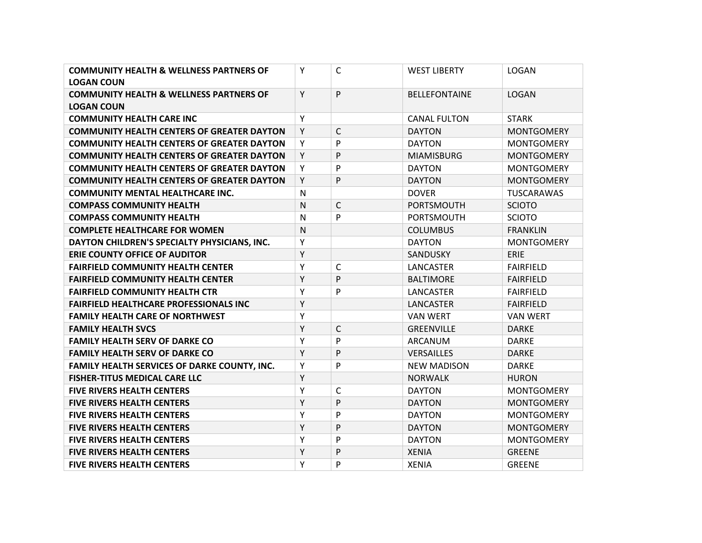| <b>COMMUNITY HEALTH &amp; WELLNESS PARTNERS OF</b> | Y            | C            | <b>WEST LIBERTY</b>  | <b>LOGAN</b>      |
|----------------------------------------------------|--------------|--------------|----------------------|-------------------|
| <b>LOGAN COUN</b>                                  |              |              |                      |                   |
| <b>COMMUNITY HEALTH &amp; WELLNESS PARTNERS OF</b> | Y            | P            | <b>BELLEFONTAINE</b> | <b>LOGAN</b>      |
| <b>LOGAN COUN</b>                                  |              |              |                      |                   |
| <b>COMMUNITY HEALTH CARE INC</b>                   | Υ            |              | <b>CANAL FULTON</b>  | <b>STARK</b>      |
| <b>COMMUNITY HEALTH CENTERS OF GREATER DAYTON</b>  | Y            | $\mathsf{C}$ | <b>DAYTON</b>        | <b>MONTGOMERY</b> |
| <b>COMMUNITY HEALTH CENTERS OF GREATER DAYTON</b>  | Υ            | P            | <b>DAYTON</b>        | <b>MONTGOMERY</b> |
| <b>COMMUNITY HEALTH CENTERS OF GREATER DAYTON</b>  | Y            | P            | <b>MIAMISBURG</b>    | <b>MONTGOMERY</b> |
| <b>COMMUNITY HEALTH CENTERS OF GREATER DAYTON</b>  | Υ            | P            | <b>DAYTON</b>        | <b>MONTGOMERY</b> |
| <b>COMMUNITY HEALTH CENTERS OF GREATER DAYTON</b>  | Υ            | P            | <b>DAYTON</b>        | <b>MONTGOMERY</b> |
| <b>COMMUNITY MENTAL HEALTHCARE INC.</b>            | $\mathsf{N}$ |              | <b>DOVER</b>         | TUSCARAWAS        |
| <b>COMPASS COMMUNITY HEALTH</b>                    | $\mathsf{N}$ | $\mathsf{C}$ | PORTSMOUTH           | <b>SCIOTO</b>     |
| <b>COMPASS COMMUNITY HEALTH</b>                    | N            | P            | PORTSMOUTH           | <b>SCIOTO</b>     |
| <b>COMPLETE HEALTHCARE FOR WOMEN</b>               | $\mathsf{N}$ |              | <b>COLUMBUS</b>      | <b>FRANKLIN</b>   |
| DAYTON CHILDREN'S SPECIALTY PHYSICIANS, INC.       | Υ            |              | <b>DAYTON</b>        | <b>MONTGOMERY</b> |
| <b>ERIE COUNTY OFFICE OF AUDITOR</b>               | Y            |              | SANDUSKY             | <b>ERIE</b>       |
| <b>FAIRFIELD COMMUNITY HEALTH CENTER</b>           | Υ            | C            | LANCASTER            | <b>FAIRFIELD</b>  |
| <b>FAIRFIELD COMMUNITY HEALTH CENTER</b>           | Y            | P            | <b>BALTIMORE</b>     | <b>FAIRFIELD</b>  |
| <b>FAIRFIELD COMMUNITY HEALTH CTR</b>              | Υ            | P            | LANCASTER            | <b>FAIRFIELD</b>  |
| <b>FAIRFIELD HEALTHCARE PROFESSIONALS INC</b>      | Υ            |              | <b>LANCASTER</b>     | <b>FAIRFIELD</b>  |
| <b>FAMILY HEALTH CARE OF NORTHWEST</b>             | Υ            |              | <b>VAN WERT</b>      | <b>VAN WERT</b>   |
| <b>FAMILY HEALTH SVCS</b>                          | Y            | C            | <b>GREENVILLE</b>    | <b>DARKE</b>      |
| <b>FAMILY HEALTH SERV OF DARKE CO</b>              | Υ            | P            | ARCANUM              | <b>DARKE</b>      |
| <b>FAMILY HEALTH SERV OF DARKE CO</b>              | Y            | P            | <b>VERSAILLES</b>    | <b>DARKE</b>      |
| FAMILY HEALTH SERVICES OF DARKE COUNTY, INC.       | Υ            | P            | <b>NEW MADISON</b>   | <b>DARKE</b>      |
| <b>FISHER-TITUS MEDICAL CARE LLC</b>               | Υ            |              | <b>NORWALK</b>       | <b>HURON</b>      |
| <b>FIVE RIVERS HEALTH CENTERS</b>                  | Υ            | $\mathsf{C}$ | <b>DAYTON</b>        | <b>MONTGOMERY</b> |
| <b>FIVE RIVERS HEALTH CENTERS</b>                  | Υ            | P            | <b>DAYTON</b>        | <b>MONTGOMERY</b> |
| <b>FIVE RIVERS HEALTH CENTERS</b>                  | Υ            | P            | <b>DAYTON</b>        | <b>MONTGOMERY</b> |
| <b>FIVE RIVERS HEALTH CENTERS</b>                  | Υ            | P            | <b>DAYTON</b>        | <b>MONTGOMERY</b> |
| <b>FIVE RIVERS HEALTH CENTERS</b>                  | Υ            | P            | <b>DAYTON</b>        | <b>MONTGOMERY</b> |
| <b>FIVE RIVERS HEALTH CENTERS</b>                  | Υ            | P            | <b>XENIA</b>         | <b>GREENE</b>     |
| <b>FIVE RIVERS HEALTH CENTERS</b>                  | Υ            | P            | <b>XENIA</b>         | <b>GREENE</b>     |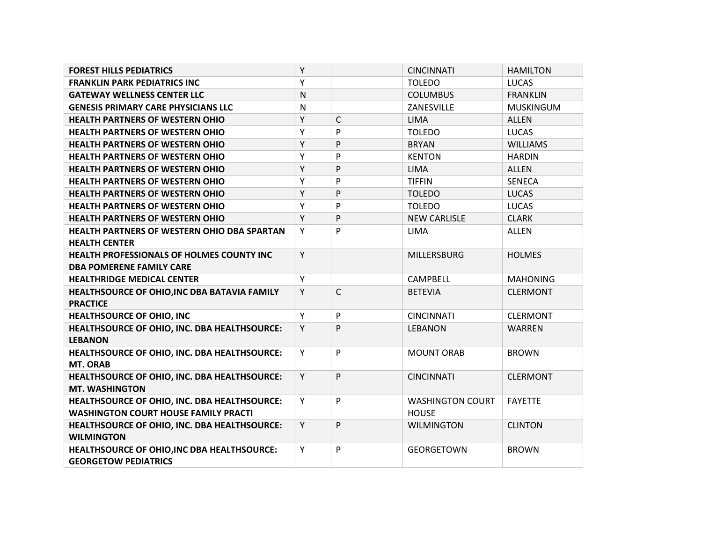| <b>FOREST HILLS PEDIATRICS</b>                                                              | Y            |              | <b>CINCINNATI</b>                       | <b>HAMILTON</b>  |
|---------------------------------------------------------------------------------------------|--------------|--------------|-----------------------------------------|------------------|
| <b>FRANKLIN PARK PEDIATRICS INC</b>                                                         | Y            |              | <b>TOLEDO</b>                           | <b>LUCAS</b>     |
| <b>GATEWAY WELLNESS CENTER LLC</b>                                                          | $\mathsf{N}$ |              | <b>COLUMBUS</b>                         | <b>FRANKLIN</b>  |
| <b>GENESIS PRIMARY CARE PHYSICIANS LLC</b>                                                  | $\mathsf{N}$ |              | ZANESVILLE                              | <b>MUSKINGUM</b> |
| <b>HEALTH PARTNERS OF WESTERN OHIO</b>                                                      | Y            | $\mathsf{C}$ | <b>LIMA</b>                             | <b>ALLEN</b>     |
| <b>HEALTH PARTNERS OF WESTERN OHIO</b>                                                      | Υ            | P            | <b>TOLEDO</b>                           | <b>LUCAS</b>     |
| <b>HEALTH PARTNERS OF WESTERN OHIO</b>                                                      | Y            | P            | <b>BRYAN</b>                            | <b>WILLIAMS</b>  |
| <b>HEALTH PARTNERS OF WESTERN OHIO</b>                                                      | Υ            | P            | <b>KENTON</b>                           | <b>HARDIN</b>    |
| <b>HEALTH PARTNERS OF WESTERN OHIO</b>                                                      | Y            | P            | <b>LIMA</b>                             | <b>ALLEN</b>     |
| <b>HEALTH PARTNERS OF WESTERN OHIO</b>                                                      | Υ            | P            | <b>TIFFIN</b>                           | <b>SENECA</b>    |
| <b>HEALTH PARTNERS OF WESTERN OHIO</b>                                                      | Υ            | P            | <b>TOLEDO</b>                           | <b>LUCAS</b>     |
| <b>HEALTH PARTNERS OF WESTERN OHIO</b>                                                      | Υ            | P            | <b>TOLEDO</b>                           | <b>LUCAS</b>     |
| <b>HEALTH PARTNERS OF WESTERN OHIO</b>                                                      | Y            | P            | <b>NEW CARLISLE</b>                     | <b>CLARK</b>     |
| <b>HEALTH PARTNERS OF WESTERN OHIO DBA SPARTAN</b>                                          | Υ            | P            | <b>LIMA</b>                             | <b>ALLEN</b>     |
| <b>HEALTH CENTER</b>                                                                        |              |              |                                         |                  |
| HEALTH PROFESSIONALS OF HOLMES COUNTY INC                                                   | Y            |              | <b>MILLERSBURG</b>                      | <b>HOLMES</b>    |
| <b>DBA POMERENE FAMILY CARE</b>                                                             |              |              |                                         |                  |
| <b>HEALTHRIDGE MEDICAL CENTER</b>                                                           | Υ            |              | <b>CAMPBELL</b>                         | <b>MAHONING</b>  |
| HEALTHSOURCE OF OHIO, INC DBA BATAVIA FAMILY<br><b>PRACTICE</b>                             | Y            | $\mathsf{C}$ | <b>BETEVIA</b>                          | <b>CLERMONT</b>  |
| <b>HEALTHSOURCE OF OHIO, INC</b>                                                            | Υ            | P            | <b>CINCINNATI</b>                       | <b>CLERMONT</b>  |
| HEALTHSOURCE OF OHIO, INC. DBA HEALTHSOURCE:<br><b>LEBANON</b>                              | Y            | P            | LEBANON                                 | <b>WARREN</b>    |
| HEALTHSOURCE OF OHIO, INC. DBA HEALTHSOURCE:<br><b>MT. ORAB</b>                             | Υ            | P            | <b>MOUNT ORAB</b>                       | <b>BROWN</b>     |
| HEALTHSOURCE OF OHIO, INC. DBA HEALTHSOURCE:<br><b>MT. WASHINGTON</b>                       | Υ            | P            | <b>CINCINNATI</b>                       | <b>CLERMONT</b>  |
| HEALTHSOURCE OF OHIO, INC. DBA HEALTHSOURCE:<br><b>WASHINGTON COURT HOUSE FAMILY PRACTI</b> | Υ            | P            | <b>WASHINGTON COURT</b><br><b>HOUSE</b> | <b>FAYETTE</b>   |
| HEALTHSOURCE OF OHIO, INC. DBA HEALTHSOURCE:<br><b>WILMINGTON</b>                           | Y            | P            | <b>WILMINGTON</b>                       | <b>CLINTON</b>   |
| HEALTHSOURCE OF OHIO, INC DBA HEALTHSOURCE:<br><b>GEORGETOW PEDIATRICS</b>                  | Υ            | P            | <b>GEORGETOWN</b>                       | <b>BROWN</b>     |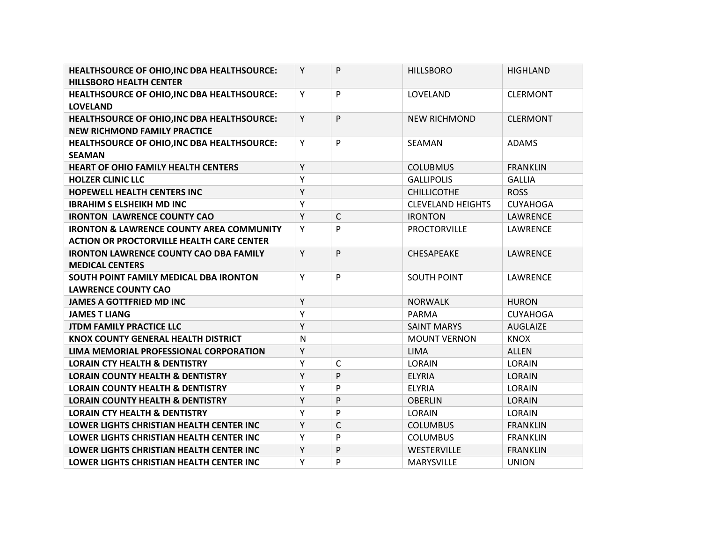| <b>HEALTHSOURCE OF OHIO, INC DBA HEALTHSOURCE:</b>  | Y | P            | <b>HILLSBORO</b>         | <b>HIGHLAND</b> |
|-----------------------------------------------------|---|--------------|--------------------------|-----------------|
| <b>HILLSBORO HEALTH CENTER</b>                      |   |              |                          |                 |
| <b>HEALTHSOURCE OF OHIO, INC DBA HEALTHSOURCE:</b>  | Y | P            | LOVELAND                 | <b>CLERMONT</b> |
| <b>LOVELAND</b>                                     |   |              |                          |                 |
| HEALTHSOURCE OF OHIO, INC DBA HEALTHSOURCE:         | Y | P            | <b>NEW RICHMOND</b>      | <b>CLERMONT</b> |
| <b>NEW RICHMOND FAMILY PRACTICE</b>                 |   |              |                          |                 |
| <b>HEALTHSOURCE OF OHIO, INC DBA HEALTHSOURCE:</b>  | Y | P            | SEAMAN                   | <b>ADAMS</b>    |
| <b>SEAMAN</b>                                       |   |              |                          |                 |
| <b>HEART OF OHIO FAMILY HEALTH CENTERS</b>          | Y |              | <b>COLUBMUS</b>          | <b>FRANKLIN</b> |
| <b>HOLZER CLINIC LLC</b>                            | Y |              | <b>GALLIPOLIS</b>        | <b>GALLIA</b>   |
| HOPEWELL HEALTH CENTERS INC                         | Y |              | <b>CHILLICOTHE</b>       | <b>ROSS</b>     |
| <b>IBRAHIM S ELSHEIKH MD INC</b>                    | Υ |              | <b>CLEVELAND HEIGHTS</b> | <b>CUYAHOGA</b> |
| <b>IRONTON LAWRENCE COUNTY CAO</b>                  | Υ | $\mathsf{C}$ | <b>IRONTON</b>           | LAWRENCE        |
| <b>IRONTON &amp; LAWRENCE COUNTY AREA COMMUNITY</b> | Υ | P            | <b>PROCTORVILLE</b>      | <b>LAWRENCE</b> |
| <b>ACTION OR PROCTORVILLE HEALTH CARE CENTER</b>    |   |              |                          |                 |
| <b>IRONTON LAWRENCE COUNTY CAO DBA FAMILY</b>       | Y | P            | <b>CHESAPEAKE</b>        | <b>LAWRENCE</b> |
| <b>MEDICAL CENTERS</b>                              |   |              |                          |                 |
| SOUTH POINT FAMILY MEDICAL DBA IRONTON              | Y | P            | <b>SOUTH POINT</b>       | LAWRENCE        |
| <b>LAWRENCE COUNTY CAO</b>                          |   |              |                          |                 |
| <b>JAMES A GOTTFRIED MD INC</b>                     | Υ |              | <b>NORWALK</b>           | <b>HURON</b>    |
| <b>JAMES T LIANG</b>                                | Υ |              | <b>PARMA</b>             | <b>CUYAHOGA</b> |
| <b>JTDM FAMILY PRACTICE LLC</b>                     | Y |              | <b>SAINT MARYS</b>       | <b>AUGLAIZE</b> |
| KNOX COUNTY GENERAL HEALTH DISTRICT                 | N |              | <b>MOUNT VERNON</b>      | <b>KNOX</b>     |
| LIMA MEMORIAL PROFESSIONAL CORPORATION              | Υ |              | <b>LIMA</b>              | <b>ALLEN</b>    |
| <b>LORAIN CTY HEALTH &amp; DENTISTRY</b>            | Υ | C            | LORAIN                   | LORAIN          |
| <b>LORAIN COUNTY HEALTH &amp; DENTISTRY</b>         | Υ | P            | <b>ELYRIA</b>            | LORAIN          |
| <b>LORAIN COUNTY HEALTH &amp; DENTISTRY</b>         | Υ | P            | <b>ELYRIA</b>            | LORAIN          |
| <b>LORAIN COUNTY HEALTH &amp; DENTISTRY</b>         | Υ | P            | <b>OBERLIN</b>           | LORAIN          |
| <b>LORAIN CTY HEALTH &amp; DENTISTRY</b>            | Υ | P            | <b>LORAIN</b>            | LORAIN          |
| LOWER LIGHTS CHRISTIAN HEALTH CENTER INC            | Υ | $\mathsf{C}$ | <b>COLUMBUS</b>          | <b>FRANKLIN</b> |
| LOWER LIGHTS CHRISTIAN HEALTH CENTER INC            | Υ | P            | <b>COLUMBUS</b>          | <b>FRANKLIN</b> |
| LOWER LIGHTS CHRISTIAN HEALTH CENTER INC            | Υ | P            | WESTERVILLE              | <b>FRANKLIN</b> |
| <b>LOWER LIGHTS CHRISTIAN HEALTH CENTER INC</b>     | Υ | P            | <b>MARYSVILLE</b>        | <b>UNION</b>    |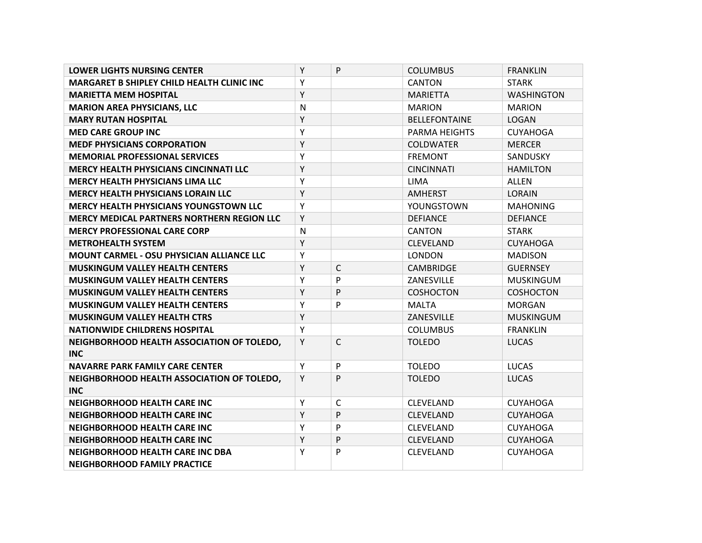| <b>LOWER LIGHTS NURSING CENTER</b>                       | Y | P            | <b>COLUMBUS</b>      | <b>FRANKLIN</b>   |
|----------------------------------------------------------|---|--------------|----------------------|-------------------|
| <b>MARGARET B SHIPLEY CHILD HEALTH CLINIC INC</b>        | Y |              | <b>CANTON</b>        | <b>STARK</b>      |
| <b>MARIETTA MEM HOSPITAL</b>                             | Y |              | <b>MARIETTA</b>      | <b>WASHINGTON</b> |
| <b>MARION AREA PHYSICIANS, LLC</b>                       | N |              | <b>MARION</b>        | <b>MARION</b>     |
| <b>MARY RUTAN HOSPITAL</b>                               | Y |              | <b>BELLEFONTAINE</b> | <b>LOGAN</b>      |
| <b>MED CARE GROUP INC</b>                                | Υ |              | PARMA HEIGHTS        | <b>CUYAHOGA</b>   |
| <b>MEDF PHYSICIANS CORPORATION</b>                       | Y |              | <b>COLDWATER</b>     | <b>MERCER</b>     |
| <b>MEMORIAL PROFESSIONAL SERVICES</b>                    | Y |              | <b>FREMONT</b>       | SANDUSKY          |
| <b>MERCY HEALTH PHYSICIANS CINCINNATI LLC</b>            | Y |              | <b>CINCINNATI</b>    | <b>HAMILTON</b>   |
| <b>MERCY HEALTH PHYSICIANS LIMA LLC</b>                  | Υ |              | <b>LIMA</b>          | <b>ALLEN</b>      |
| <b>MERCY HEALTH PHYSICIANS LORAIN LLC</b>                | Y |              | <b>AMHERST</b>       | <b>LORAIN</b>     |
| <b>MERCY HEALTH PHYSICIANS YOUNGSTOWN LLC</b>            | Υ |              | YOUNGSTOWN           | <b>MAHONING</b>   |
| <b>MERCY MEDICAL PARTNERS NORTHERN REGION LLC</b>        | Y |              | <b>DEFIANCE</b>      | <b>DEFIANCE</b>   |
| <b>MERCY PROFESSIONAL CARE CORP</b>                      | N |              | <b>CANTON</b>        | <b>STARK</b>      |
| <b>METROHEALTH SYSTEM</b>                                | Y |              | <b>CLEVELAND</b>     | <b>CUYAHOGA</b>   |
| <b>MOUNT CARMEL - OSU PHYSICIAN ALLIANCE LLC</b>         | Υ |              | <b>LONDON</b>        | <b>MADISON</b>    |
| <b>MUSKINGUM VALLEY HEALTH CENTERS</b>                   | Υ | C            | <b>CAMBRIDGE</b>     | <b>GUERNSEY</b>   |
| <b>MUSKINGUM VALLEY HEALTH CENTERS</b>                   | Υ | P            | ZANESVILLE           | <b>MUSKINGUM</b>  |
| <b>MUSKINGUM VALLEY HEALTH CENTERS</b>                   | Υ | P            | <b>COSHOCTON</b>     | <b>COSHOCTON</b>  |
| <b>MUSKINGUM VALLEY HEALTH CENTERS</b>                   | Υ | P            | <b>MALTA</b>         | <b>MORGAN</b>     |
| <b>MUSKINGUM VALLEY HEALTH CTRS</b>                      | Y |              | ZANESVILLE           | <b>MUSKINGUM</b>  |
| <b>NATIONWIDE CHILDRENS HOSPITAL</b>                     | Y |              | <b>COLUMBUS</b>      | <b>FRANKLIN</b>   |
| NEIGHBORHOOD HEALTH ASSOCIATION OF TOLEDO,<br><b>INC</b> | Y | $\mathsf{C}$ | <b>TOLEDO</b>        | <b>LUCAS</b>      |
| <b>NAVARRE PARK FAMILY CARE CENTER</b>                   | Υ | P            | <b>TOLEDO</b>        | <b>LUCAS</b>      |
| NEIGHBORHOOD HEALTH ASSOCIATION OF TOLEDO,<br><b>INC</b> | Y | P            | <b>TOLEDO</b>        | <b>LUCAS</b>      |
| <b>NEIGHBORHOOD HEALTH CARE INC</b>                      | Υ | $\mathsf{C}$ | <b>CLEVELAND</b>     | <b>CUYAHOGA</b>   |
| <b>NEIGHBORHOOD HEALTH CARE INC</b>                      | Y | P            | <b>CLEVELAND</b>     | <b>CUYAHOGA</b>   |
| <b>NEIGHBORHOOD HEALTH CARE INC</b>                      | Υ | P            | <b>CLEVELAND</b>     | <b>CUYAHOGA</b>   |
| <b>NEIGHBORHOOD HEALTH CARE INC</b>                      | Υ | P            | <b>CLEVELAND</b>     | <b>CUYAHOGA</b>   |
| NEIGHBORHOOD HEALTH CARE INC DBA                         | Υ | P            | <b>CLEVELAND</b>     | <b>CUYAHOGA</b>   |
| <b>NEIGHBORHOOD FAMILY PRACTICE</b>                      |   |              |                      |                   |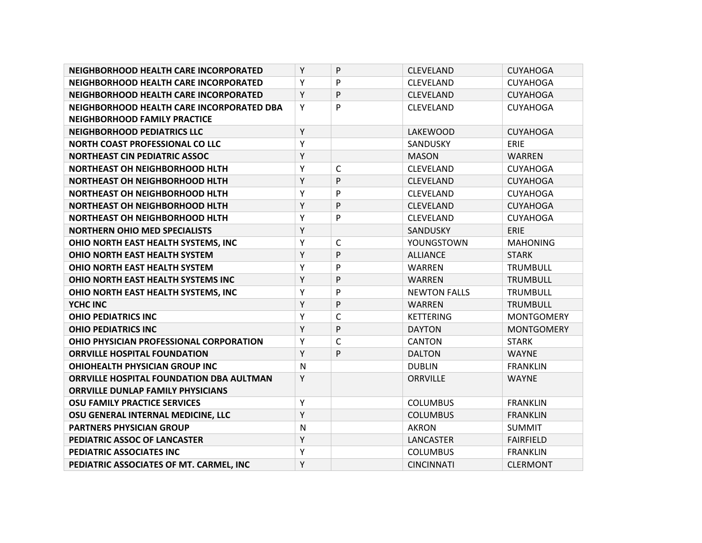| <b>NEIGHBORHOOD HEALTH CARE INCORPORATED</b>    | Y            | P            | <b>CLEVELAND</b>    | <b>CUYAHOGA</b>   |
|-------------------------------------------------|--------------|--------------|---------------------|-------------------|
| NEIGHBORHOOD HEALTH CARE INCORPORATED           | Υ            | P            | <b>CLEVELAND</b>    | <b>CUYAHOGA</b>   |
| <b>NEIGHBORHOOD HEALTH CARE INCORPORATED</b>    | Y            | P            | <b>CLEVELAND</b>    | <b>CUYAHOGA</b>   |
| NEIGHBORHOOD HEALTH CARE INCORPORATED DBA       | Υ            | P            | <b>CLEVELAND</b>    | <b>CUYAHOGA</b>   |
| <b>NEIGHBORHOOD FAMILY PRACTICE</b>             |              |              |                     |                   |
| <b>NEIGHBORHOOD PEDIATRICS LLC</b>              | Υ            |              | <b>LAKEWOOD</b>     | <b>CUYAHOGA</b>   |
| <b>NORTH COAST PROFESSIONAL CO LLC</b>          | Υ            |              | <b>SANDUSKY</b>     | ERIE              |
| <b>NORTHEAST CIN PEDIATRIC ASSOC</b>            | Υ            |              | <b>MASON</b>        | <b>WARREN</b>     |
| <b>NORTHEAST OH NEIGHBORHOOD HLTH</b>           | Υ            | C            | <b>CLEVELAND</b>    | <b>CUYAHOGA</b>   |
| <b>NORTHEAST OH NEIGHBORHOOD HLTH</b>           | Y            | P            | <b>CLEVELAND</b>    | <b>CUYAHOGA</b>   |
| <b>NORTHEAST OH NEIGHBORHOOD HLTH</b>           | Υ            | P            | <b>CLEVELAND</b>    | <b>CUYAHOGA</b>   |
| <b>NORTHEAST OH NEIGHBORHOOD HLTH</b>           | Υ            | $\mathsf{P}$ | <b>CLEVELAND</b>    | <b>CUYAHOGA</b>   |
| <b>NORTHEAST OH NEIGHBORHOOD HLTH</b>           | Υ            | P            | <b>CLEVELAND</b>    | <b>CUYAHOGA</b>   |
| <b>NORTHERN OHIO MED SPECIALISTS</b>            | Y            |              | SANDUSKY            | ERIE              |
| OHIO NORTH EAST HEALTH SYSTEMS, INC             | Υ            | $\mathsf{C}$ | YOUNGSTOWN          | <b>MAHONING</b>   |
| OHIO NORTH EAST HEALTH SYSTEM                   | Υ            | P            | <b>ALLIANCE</b>     | <b>STARK</b>      |
| <b>OHIO NORTH EAST HEALTH SYSTEM</b>            | Υ            | P            | <b>WARREN</b>       | <b>TRUMBULL</b>   |
| OHIO NORTH EAST HEALTH SYSTEMS INC              | Υ            | P            | <b>WARREN</b>       | <b>TRUMBULL</b>   |
| OHIO NORTH EAST HEALTH SYSTEMS, INC             | Υ            | P            | <b>NEWTON FALLS</b> | TRUMBULL          |
| <b>YCHC INC</b>                                 | Υ            | P            | <b>WARREN</b>       | <b>TRUMBULL</b>   |
| <b>OHIO PEDIATRICS INC</b>                      | Υ            | C            | <b>KETTERING</b>    | <b>MONTGOMERY</b> |
| <b>OHIO PEDIATRICS INC</b>                      | Υ            | P            | <b>DAYTON</b>       | <b>MONTGOMERY</b> |
| OHIO PHYSICIAN PROFESSIONAL CORPORATION         | Υ            | C            | <b>CANTON</b>       | <b>STARK</b>      |
| <b>ORRVILLE HOSPITAL FOUNDATION</b>             | Y            | P            | <b>DALTON</b>       | <b>WAYNE</b>      |
| <b>OHIOHEALTH PHYSICIAN GROUP INC</b>           | ${\sf N}$    |              | <b>DUBLIN</b>       | <b>FRANKLIN</b>   |
| <b>ORRVILLE HOSPITAL FOUNDATION DBA AULTMAN</b> | Y            |              | <b>ORRVILLE</b>     | <b>WAYNE</b>      |
| <b>ORRVILLE DUNLAP FAMILY PHYSICIANS</b>        |              |              |                     |                   |
| <b>OSU FAMILY PRACTICE SERVICES</b>             | Y            |              | <b>COLUMBUS</b>     | <b>FRANKLIN</b>   |
| OSU GENERAL INTERNAL MEDICINE, LLC              | Υ            |              | <b>COLUMBUS</b>     | <b>FRANKLIN</b>   |
| <b>PARTNERS PHYSICIAN GROUP</b>                 | $\mathsf{N}$ |              | <b>AKRON</b>        | <b>SUMMIT</b>     |
| PEDIATRIC ASSOC OF LANCASTER                    | Υ            |              | LANCASTER           | <b>FAIRFIELD</b>  |
| PEDIATRIC ASSOCIATES INC                        | Υ            |              | <b>COLUMBUS</b>     | <b>FRANKLIN</b>   |
| PEDIATRIC ASSOCIATES OF MT. CARMEL, INC         | Y            |              | <b>CINCINNATI</b>   | <b>CLERMONT</b>   |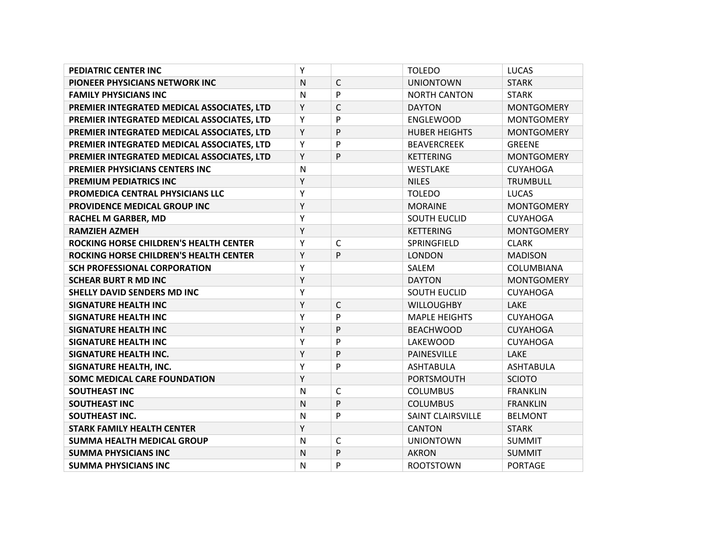| <b>PEDIATRIC CENTER INC</b>                   | Y            |              | <b>TOLEDO</b>            | <b>LUCAS</b>      |
|-----------------------------------------------|--------------|--------------|--------------------------|-------------------|
| PIONEER PHYSICIANS NETWORK INC                | $\mathsf{N}$ | C            | <b>UNIONTOWN</b>         | <b>STARK</b>      |
| <b>FAMILY PHYSICIANS INC</b>                  | $\mathsf{N}$ | P            | <b>NORTH CANTON</b>      | <b>STARK</b>      |
| PREMIER INTEGRATED MEDICAL ASSOCIATES, LTD    | Υ            | $\mathsf{C}$ | <b>DAYTON</b>            | <b>MONTGOMERY</b> |
| PREMIER INTEGRATED MEDICAL ASSOCIATES, LTD    | Υ            | P            | <b>ENGLEWOOD</b>         | <b>MONTGOMERY</b> |
| PREMIER INTEGRATED MEDICAL ASSOCIATES, LTD    | Y            | P            | <b>HUBER HEIGHTS</b>     | <b>MONTGOMERY</b> |
| PREMIER INTEGRATED MEDICAL ASSOCIATES, LTD    | Υ            | P            | <b>BEAVERCREEK</b>       | <b>GREENE</b>     |
| PREMIER INTEGRATED MEDICAL ASSOCIATES, LTD    | Υ            | P            | <b>KETTERING</b>         | <b>MONTGOMERY</b> |
| PREMIER PHYSICIANS CENTERS INC                | $\mathsf{N}$ |              | WESTLAKE                 | <b>CUYAHOGA</b>   |
| <b>PREMIUM PEDIATRICS INC</b>                 | Υ            |              | <b>NILES</b>             | <b>TRUMBULL</b>   |
| PROMEDICA CENTRAL PHYSICIANS LLC              | Υ            |              | <b>TOLEDO</b>            | <b>LUCAS</b>      |
| PROVIDENCE MEDICAL GROUP INC                  | Υ            |              | <b>MORAINE</b>           | <b>MONTGOMERY</b> |
| <b>RACHEL M GARBER, MD</b>                    | Υ            |              | <b>SOUTH EUCLID</b>      | <b>CUYAHOGA</b>   |
| <b>RAMZIEH AZMEH</b>                          | Y            |              | <b>KETTERING</b>         | <b>MONTGOMERY</b> |
| <b>ROCKING HORSE CHILDREN'S HEALTH CENTER</b> | Y            | $\mathsf{C}$ | SPRINGFIELD              | <b>CLARK</b>      |
| <b>ROCKING HORSE CHILDREN'S HEALTH CENTER</b> | Y            | P            | <b>LONDON</b>            | <b>MADISON</b>    |
| <b>SCH PROFESSIONAL CORPORATION</b>           | Y            |              | <b>SALEM</b>             | COLUMBIANA        |
| <b>SCHEAR BURT R MD INC</b>                   | Y            |              | <b>DAYTON</b>            | <b>MONTGOMERY</b> |
| <b>SHELLY DAVID SENDERS MD INC</b>            | Υ            |              | <b>SOUTH EUCLID</b>      | <b>CUYAHOGA</b>   |
| SIGNATURE HEALTH INC                          | Υ            | C            | <b>WILLOUGHBY</b>        | LAKE              |
| <b>SIGNATURE HEALTH INC</b>                   | Y            | P            | <b>MAPLE HEIGHTS</b>     | <b>CUYAHOGA</b>   |
| <b>SIGNATURE HEALTH INC</b>                   | Υ            | P            | <b>BEACHWOOD</b>         | <b>CUYAHOGA</b>   |
| <b>SIGNATURE HEALTH INC</b>                   | Υ            | P            | <b>LAKEWOOD</b>          | <b>CUYAHOGA</b>   |
| <b>SIGNATURE HEALTH INC.</b>                  | Υ            | P            | PAINESVILLE              | LAKE              |
| <b>SIGNATURE HEALTH, INC.</b>                 | Υ            | P            | <b>ASHTABULA</b>         | <b>ASHTABULA</b>  |
| <b>SOMC MEDICAL CARE FOUNDATION</b>           | Υ            |              | PORTSMOUTH               | <b>SCIOTO</b>     |
| <b>SOUTHEAST INC</b>                          | $\mathsf{N}$ | C            | <b>COLUMBUS</b>          | <b>FRANKLIN</b>   |
| <b>SOUTHEAST INC</b>                          | $\mathsf{N}$ | $\mathsf{P}$ | <b>COLUMBUS</b>          | <b>FRANKLIN</b>   |
| <b>SOUTHEAST INC.</b>                         | $\mathsf{N}$ | P            | <b>SAINT CLAIRSVILLE</b> | <b>BELMONT</b>    |
| <b>STARK FAMILY HEALTH CENTER</b>             | Υ            |              | <b>CANTON</b>            | <b>STARK</b>      |
| <b>SUMMA HEALTH MEDICAL GROUP</b>             | N            | C            | <b>UNIONTOWN</b>         | <b>SUMMIT</b>     |
| <b>SUMMA PHYSICIANS INC</b>                   | $\mathsf{N}$ | P            | <b>AKRON</b>             | <b>SUMMIT</b>     |
| <b>SUMMA PHYSICIANS INC</b>                   | $\mathsf{N}$ | P            | <b>ROOTSTOWN</b>         | <b>PORTAGE</b>    |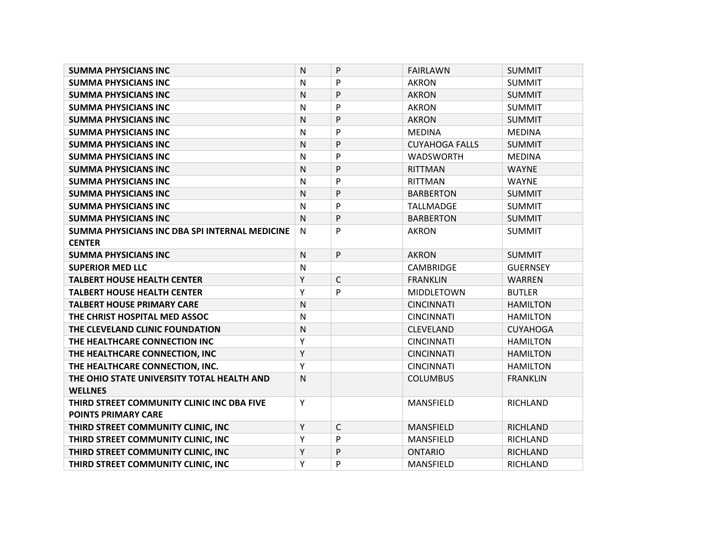| <b>SUMMA PHYSICIANS INC</b>                    | $\mathsf{N}$ | P | <b>FAIRLAWN</b>       | <b>SUMMIT</b>   |
|------------------------------------------------|--------------|---|-----------------------|-----------------|
| <b>SUMMA PHYSICIANS INC</b>                    | $\mathsf{N}$ | P | <b>AKRON</b>          | <b>SUMMIT</b>   |
| <b>SUMMA PHYSICIANS INC</b>                    | $\mathsf{N}$ | P | <b>AKRON</b>          | <b>SUMMIT</b>   |
| <b>SUMMA PHYSICIANS INC</b>                    | N            | P | <b>AKRON</b>          | <b>SUMMIT</b>   |
| <b>SUMMA PHYSICIANS INC</b>                    | $\mathsf{N}$ | P | <b>AKRON</b>          | <b>SUMMIT</b>   |
| <b>SUMMA PHYSICIANS INC</b>                    | N            | P | <b>MEDINA</b>         | <b>MEDINA</b>   |
| <b>SUMMA PHYSICIANS INC</b>                    | $\mathsf{N}$ | P | <b>CUYAHOGA FALLS</b> | <b>SUMMIT</b>   |
| <b>SUMMA PHYSICIANS INC</b>                    | $\mathsf{N}$ | P | <b>WADSWORTH</b>      | <b>MEDINA</b>   |
| <b>SUMMA PHYSICIANS INC</b>                    | N            | P | <b>RITTMAN</b>        | <b>WAYNE</b>    |
| <b>SUMMA PHYSICIANS INC</b>                    | N            | P | <b>RITTMAN</b>        | <b>WAYNE</b>    |
| <b>SUMMA PHYSICIANS INC</b>                    | $\mathsf{N}$ | P | <b>BARBERTON</b>      | <b>SUMMIT</b>   |
| <b>SUMMA PHYSICIANS INC</b>                    | $\mathsf{N}$ | P | <b>TALLMADGE</b>      | <b>SUMMIT</b>   |
| <b>SUMMA PHYSICIANS INC</b>                    | N            | P | <b>BARBERTON</b>      | <b>SUMMIT</b>   |
| SUMMA PHYSICIANS INC DBA SPI INTERNAL MEDICINE | N            | P | <b>AKRON</b>          | <b>SUMMIT</b>   |
| <b>CENTER</b>                                  |              |   |                       |                 |
| <b>SUMMA PHYSICIANS INC</b>                    | $\mathsf{N}$ | P | <b>AKRON</b>          | <b>SUMMIT</b>   |
| <b>SUPERIOR MED LLC</b>                        | N            |   | <b>CAMBRIDGE</b>      | <b>GUERNSEY</b> |
| <b>TALBERT HOUSE HEALTH CENTER</b>             | Υ            | C | <b>FRANKLIN</b>       | <b>WARREN</b>   |
| <b>TALBERT HOUSE HEALTH CENTER</b>             | Υ            | P | <b>MIDDLETOWN</b>     | <b>BUTLER</b>   |
| <b>TALBERT HOUSE PRIMARY CARE</b>              | $\mathsf{N}$ |   | <b>CINCINNATI</b>     | <b>HAMILTON</b> |
| THE CHRIST HOSPITAL MED ASSOC                  | N            |   | <b>CINCINNATI</b>     | <b>HAMILTON</b> |
| THE CLEVELAND CLINIC FOUNDATION                | $\mathsf{N}$ |   | <b>CLEVELAND</b>      | <b>CUYAHOGA</b> |
| THE HEALTHCARE CONNECTION INC                  | Υ            |   | <b>CINCINNATI</b>     | <b>HAMILTON</b> |
| THE HEALTHCARE CONNECTION, INC                 | Υ            |   | <b>CINCINNATI</b>     | <b>HAMILTON</b> |
| THE HEALTHCARE CONNECTION, INC.                | Υ            |   | <b>CINCINNATI</b>     | <b>HAMILTON</b> |
| THE OHIO STATE UNIVERSITY TOTAL HEALTH AND     | $\mathsf{N}$ |   | <b>COLUMBUS</b>       | <b>FRANKLIN</b> |
| <b>WELLNES</b>                                 |              |   |                       |                 |
| THIRD STREET COMMUNITY CLINIC INC DBA FIVE     | Υ            |   | <b>MANSFIELD</b>      | <b>RICHLAND</b> |
| <b>POINTS PRIMARY CARE</b>                     |              |   |                       |                 |
| THIRD STREET COMMUNITY CLINIC, INC             | Y            | C | <b>MANSFIELD</b>      | RICHLAND        |
| THIRD STREET COMMUNITY CLINIC, INC             | Υ            | P | <b>MANSFIELD</b>      | <b>RICHLAND</b> |
| THIRD STREET COMMUNITY CLINIC, INC             | Υ            | P | <b>ONTARIO</b>        | RICHLAND        |
| THIRD STREET COMMUNITY CLINIC, INC             | Υ            | P | <b>MANSFIELD</b>      | <b>RICHLAND</b> |